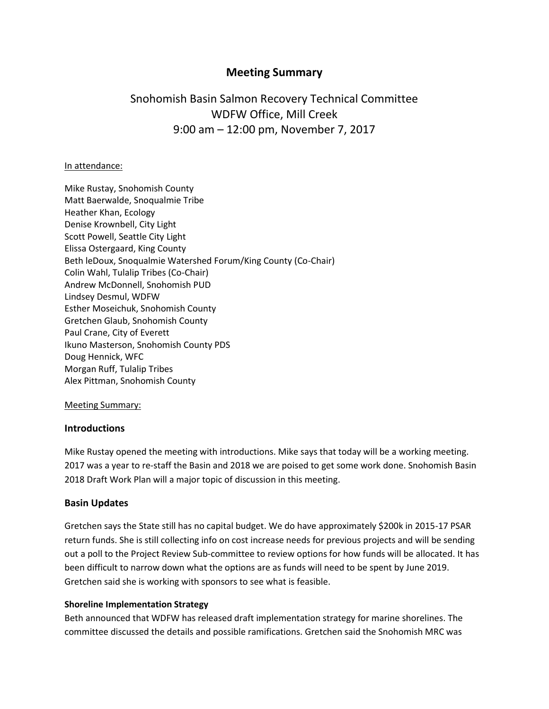# **Meeting Summary**

# Snohomish Basin Salmon Recovery Technical Committee WDFW Office, Mill Creek 9:00 am – 12:00 pm, November 7, 2017

#### In attendance:

Mike Rustay, Snohomish County Matt Baerwalde, Snoqualmie Tribe Heather Khan, Ecology Denise Krownbell, City Light Scott Powell, Seattle City Light Elissa Ostergaard, King County Beth leDoux, Snoqualmie Watershed Forum/King County (Co-Chair) Colin Wahl, Tulalip Tribes (Co-Chair) Andrew McDonnell, Snohomish PUD Lindsey Desmul, WDFW Esther Moseichuk, Snohomish County Gretchen Glaub, Snohomish County Paul Crane, City of Everett Ikuno Masterson, Snohomish County PDS Doug Hennick, WFC Morgan Ruff, Tulalip Tribes Alex Pittman, Snohomish County

#### Meeting Summary:

#### **Introductions**

Mike Rustay opened the meeting with introductions. Mike says that today will be a working meeting. 2017 was a year to re-staff the Basin and 2018 we are poised to get some work done. Snohomish Basin 2018 Draft Work Plan will a major topic of discussion in this meeting.

#### **Basin Updates**

Gretchen says the State still has no capital budget. We do have approximately \$200k in 2015-17 PSAR return funds. She is still collecting info on cost increase needs for previous projects and will be sending out a poll to the Project Review Sub-committee to review options for how funds will be allocated. It has been difficult to narrow down what the options are as funds will need to be spent by June 2019. Gretchen said she is working with sponsors to see what is feasible.

#### **Shoreline Implementation Strategy**

Beth announced that WDFW has released draft implementation strategy for marine shorelines. The committee discussed the details and possible ramifications. Gretchen said the Snohomish MRC was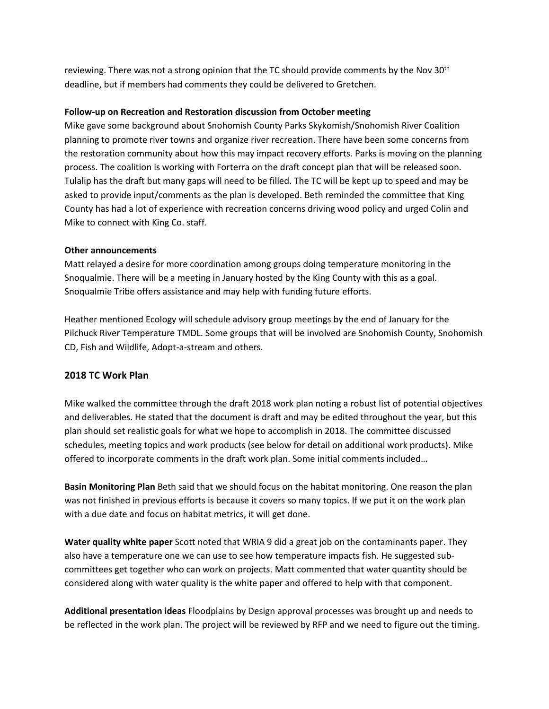reviewing. There was not a strong opinion that the TC should provide comments by the Nov  $30<sup>th</sup>$ deadline, but if members had comments they could be delivered to Gretchen.

#### **Follow-up on Recreation and Restoration discussion from October meeting**

Mike gave some background about Snohomish County Parks Skykomish/Snohomish River Coalition planning to promote river towns and organize river recreation. There have been some concerns from the restoration community about how this may impact recovery efforts. Parks is moving on the planning process. The coalition is working with Forterra on the draft concept plan that will be released soon. Tulalip has the draft but many gaps will need to be filled. The TC will be kept up to speed and may be asked to provide input/comments as the plan is developed. Beth reminded the committee that King County has had a lot of experience with recreation concerns driving wood policy and urged Colin and Mike to connect with King Co. staff.

#### **Other announcements**

Matt relayed a desire for more coordination among groups doing temperature monitoring in the Snoqualmie. There will be a meeting in January hosted by the King County with this as a goal. Snoqualmie Tribe offers assistance and may help with funding future efforts.

Heather mentioned Ecology will schedule advisory group meetings by the end of January for the Pilchuck River Temperature TMDL. Some groups that will be involved are Snohomish County, Snohomish CD, Fish and Wildlife, Adopt-a-stream and others.

## **2018 TC Work Plan**

Mike walked the committee through the draft 2018 work plan noting a robust list of potential objectives and deliverables. He stated that the document is draft and may be edited throughout the year, but this plan should set realistic goals for what we hope to accomplish in 2018. The committee discussed schedules, meeting topics and work products (see below for detail on additional work products). Mike offered to incorporate comments in the draft work plan. Some initial comments included…

**Basin Monitoring Plan** Beth said that we should focus on the habitat monitoring. One reason the plan was not finished in previous efforts is because it covers so many topics. If we put it on the work plan with a due date and focus on habitat metrics, it will get done.

**Water quality white paper** Scott noted that WRIA 9 did a great job on the contaminants paper. They also have a temperature one we can use to see how temperature impacts fish. He suggested subcommittees get together who can work on projects. Matt commented that water quantity should be considered along with water quality is the white paper and offered to help with that component.

**Additional presentation ideas** Floodplains by Design approval processes was brought up and needs to be reflected in the work plan. The project will be reviewed by RFP and we need to figure out the timing.